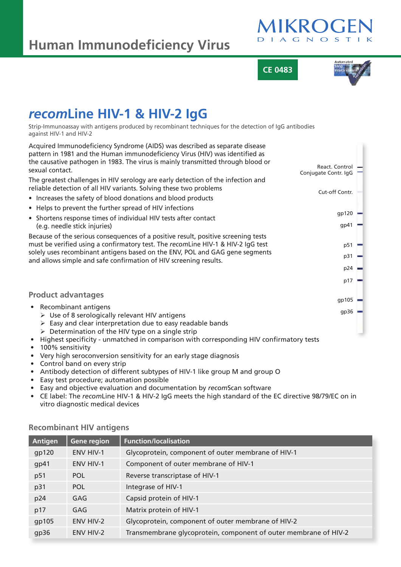# **Human Immunodeficiency Virus**



**CE 0483**



## *recom***Line HIV-1 & HIV-2 IgG**

Strip-Immunoassay with antigens produced by recombinant techniques for the detection of IgG antibodies against HIV-1 and HIV-2

| Acquired Immunodeficiency Syndrome (AIDS) was described as separate disease<br>pattern in 1981 and the Human immunodeficiency Virus (HIV) was identified as |                                        |  |
|-------------------------------------------------------------------------------------------------------------------------------------------------------------|----------------------------------------|--|
| the causative pathogen in 1983. The virus is mainly transmitted through blood or<br>sexual contact.                                                         | React. Control<br>Conjugate Contr. IgG |  |
| The greatest challenges in HIV serology are early detection of the infection and<br>reliable detection of all HIV variants. Solving these two problems      | Cut-off Contr.                         |  |
| • Increases the safety of blood donations and blood products                                                                                                |                                        |  |
| • Helps to prevent the further spread of HIV infections                                                                                                     |                                        |  |
| • Shortens response times of individual HIV tests after contact                                                                                             | gp120                                  |  |
| (e.g. needle stick injuries)                                                                                                                                | gp41                                   |  |
| Because of the serious consequences of a positive result, positive screening tests                                                                          |                                        |  |
| must be verified using a confirmatory test. The recomLine HIV-1 & HIV-2 IgG test                                                                            | p51                                    |  |
| solely uses recombinant antigens based on the ENV, POL and GAG gene segments<br>and allows simple and safe confirmation of HIV screening results.           | p31                                    |  |
|                                                                                                                                                             | $p24 =$                                |  |
|                                                                                                                                                             | p17                                    |  |
| <b>Product advantages</b>                                                                                                                                   |                                        |  |
|                                                                                                                                                             | $qp105$ $-$                            |  |
| • Recombinant antigens<br>$\triangleright$ Use of 8 serologically relevant HIV antigens                                                                     | $gp36 =$                               |  |
| $\triangleright$ Easy and clear interpretation due to easy readable bands                                                                                   |                                        |  |
| $\triangleright$ Determination of the HIV type on a single strip                                                                                            |                                        |  |
| Highest specificity - unmatched in comparison with corresponding HIV confirmatory tests                                                                     |                                        |  |
| 100% sensitivity<br><i>Manubiah sarasanyarsian sansitivity far an aarly stage diagnasis</i>                                                                 |                                        |  |

- Very high seroconversion sensitivity for an early stage diagnosis
- Control band on every strip
- Antibody detection of different subtypes of HIV-1 like group M and group O
- Easy test procedure; automation possible
- Easy and objective evaluation and documentation by *recom*Scan software
- CE label: The *recom*Line HIV-1 & HIV-2 IgG meets the high standard of the EC directive 98/79/EC on in vitro diagnostic medical devices

| Antigen | Gene region      | <b>Function/localisation</b>                                     |
|---------|------------------|------------------------------------------------------------------|
| gp120   | <b>ENV HIV-1</b> | Glycoprotein, component of outer membrane of HIV-1               |
| gp41    | <b>ENV HIV-1</b> | Component of outer membrane of HIV-1                             |
| p51     | <b>POL</b>       | Reverse transcriptase of HIV-1                                   |
| p31     | <b>POL</b>       | Integrase of HIV-1                                               |
| p24     | GAG              | Capsid protein of HIV-1                                          |
| p17     | GAG              | Matrix protein of HIV-1                                          |
| gp105   | ENV HIV-2        | Glycoprotein, component of outer membrane of HIV-2               |
| gp36    | <b>ENV HIV-2</b> | Transmembrane glycoprotein, component of outer membrane of HIV-2 |

## **Recombinant HIV antigens**